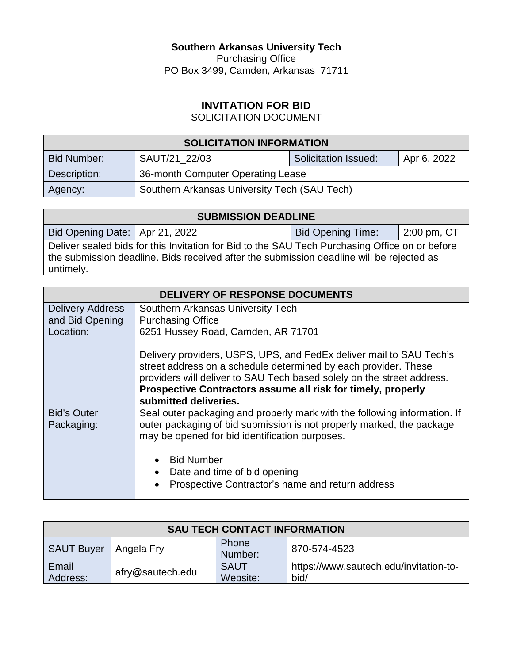# **Southern Arkansas University Tech**

Purchasing Office PO Box 3499, Camden, Arkansas 71711

# **INVITATION FOR BID**

SOLICITATION DOCUMENT

| <b>SOLICITATION INFORMATION</b>                         |                                   |                             |             |
|---------------------------------------------------------|-----------------------------------|-----------------------------|-------------|
| Bid Number:                                             | SAUT/21 22/03                     | <b>Solicitation Issued:</b> | Apr 6, 2022 |
| Description:                                            | 36-month Computer Operating Lease |                             |             |
| Southern Arkansas University Tech (SAU Tech)<br>Agency: |                                   |                             |             |

| <b>SUBMISSION DEADLINE</b>                                                                                                                                                                 |  |                          |                         |
|--------------------------------------------------------------------------------------------------------------------------------------------------------------------------------------------|--|--------------------------|-------------------------|
| Bid Opening Date:   Apr 21, 2022                                                                                                                                                           |  | <b>Bid Opening Time:</b> | $\parallel$ 2:00 pm, CT |
| Deliver sealed bids for this Invitation for Bid to the SAU Tech Purchasing Office on or before<br>the submission deadline. Bids received after the submission deadline will be rejected as |  |                          |                         |
| untimely.                                                                                                                                                                                  |  |                          |                         |

|                                                         | <b>DELIVERY OF RESPONSE DOCUMENTS</b>                                                                                                                                                                                                                                                                     |
|---------------------------------------------------------|-----------------------------------------------------------------------------------------------------------------------------------------------------------------------------------------------------------------------------------------------------------------------------------------------------------|
| <b>Delivery Address</b><br>and Bid Opening<br>Location: | Southern Arkansas University Tech<br><b>Purchasing Office</b><br>6251 Hussey Road, Camden, AR 71701                                                                                                                                                                                                       |
|                                                         | Delivery providers, USPS, UPS, and FedEx deliver mail to SAU Tech's<br>street address on a schedule determined by each provider. These<br>providers will deliver to SAU Tech based solely on the street address.<br>Prospective Contractors assume all risk for timely, properly<br>submitted deliveries. |
| <b>Bid's Outer</b><br>Packaging:                        | Seal outer packaging and properly mark with the following information. If<br>outer packaging of bid submission is not properly marked, the package<br>may be opened for bid identification purposes.<br>• Bid Number<br>Date and time of bid opening<br>Prospective Contractor's name and return address  |

| <b>SAU TECH CONTACT INFORMATION</b> |                  |                         |                                                |
|-------------------------------------|------------------|-------------------------|------------------------------------------------|
| <b>SAUT Buyer</b>                   | Angela Fry       | <b>Phone</b><br>Number: | 870-574-4523                                   |
| Email<br>Address:                   | afry@sautech.edu | <b>SAUT</b><br>Website: | https://www.sautech.edu/invitation-to-<br>bid/ |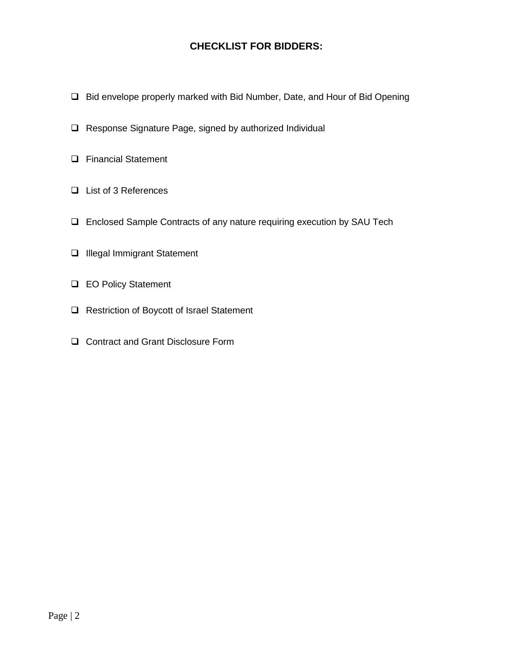# **CHECKLIST FOR BIDDERS:**

- Bid envelope properly marked with Bid Number, Date, and Hour of Bid Opening
- □ Response Signature Page, signed by authorized Individual
- □ Financial Statement
- List of 3 References
- Enclosed Sample Contracts of any nature requiring execution by SAU Tech
- **Illegal Immigrant Statement**
- **EO Policy Statement**
- □ Restriction of Boycott of Israel Statement
- □ Contract and Grant Disclosure Form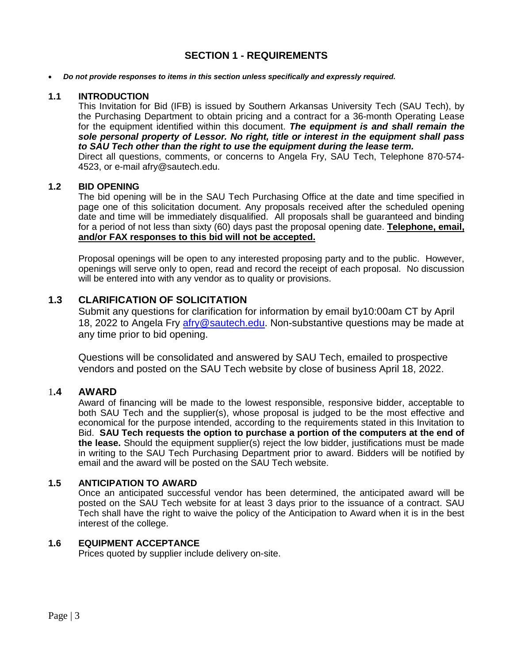# **SECTION 1 - REQUIREMENTS**

• *Do not provide responses to items in this section unless specifically and expressly required.*

#### **1.1 INTRODUCTION**

This Invitation for Bid (IFB) is issued by Southern Arkansas University Tech (SAU Tech), by the Purchasing Department to obtain pricing and a contract for a 36-month Operating Lease for the equipment identified within this document. *The equipment is and shall remain the sole personal property of Lessor. No right, title or interest in the equipment shall pass to SAU Tech other than the right to use the equipment during the lease term.* Direct all questions, comments, or concerns to Angela Fry, SAU Tech, Telephone 870-574- 4523, or e-mail afry@sautech.edu.

### **1.2 BID OPENING**

The bid opening will be in the SAU Tech Purchasing Office at the date and time specified in page one of this solicitation document. Any proposals received after the scheduled opening date and time will be immediately disqualified. All proposals shall be guaranteed and binding for a period of not less than sixty (60) days past the proposal opening date. **Telephone, email, and/or FAX responses to this bid will not be accepted.** 

Proposal openings will be open to any interested proposing party and to the public. However, openings will serve only to open, read and record the receipt of each proposal. No discussion will be entered into with any vendor as to quality or provisions.

# **1.3 CLARIFICATION OF SOLICITATION**

Submit any questions for clarification for information by email by10:00am CT by April 18, 2022 to Angela Fry [afry@sautech.edu.](mailto:afry@sautech.edu) Non-substantive questions may be made at any time prior to bid opening.

Questions will be consolidated and answered by SAU Tech, emailed to prospective vendors and posted on the SAU Tech website by close of business April 18, 2022.

## 1**.4 AWARD**

Award of financing will be made to the lowest responsible, responsive bidder, acceptable to both SAU Tech and the supplier(s), whose proposal is judged to be the most effective and economical for the purpose intended, according to the requirements stated in this Invitation to Bid. **SAU Tech requests the option to purchase a portion of the computers at the end of the lease.** Should the equipment supplier(s) reject the low bidder, justifications must be made in writing to the SAU Tech Purchasing Department prior to award. Bidders will be notified by email and the award will be posted on the SAU Tech website.

### **1.5 ANTICIPATION TO AWARD**

Once an anticipated successful vendor has been determined, the anticipated award will be posted on the SAU Tech website for at least 3 days prior to the issuance of a contract. SAU Tech shall have the right to waive the policy of the Anticipation to Award when it is in the best interest of the college.

#### **1.6 EQUIPMENT ACCEPTANCE**

Prices quoted by supplier include delivery on-site.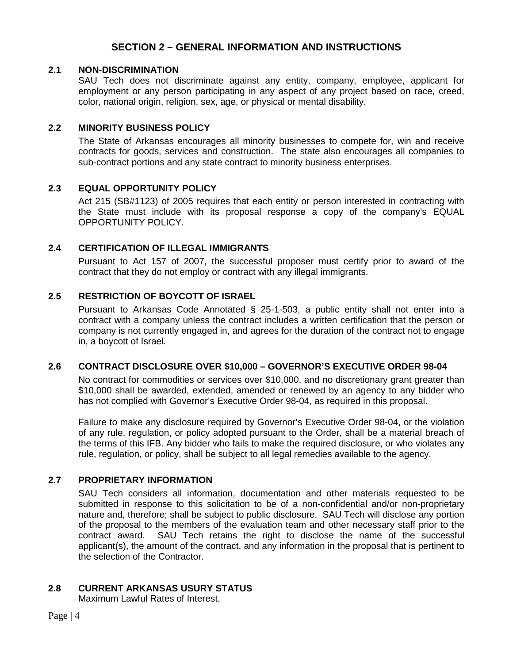# **SECTION 2 – GENERAL INFORMATION AND INSTRUCTIONS**

#### **2.1 NON-DISCRIMINATION**

SAU Tech does not discriminate against any entity, company, employee, applicant for employment or any person participating in any aspect of any project based on race, creed, color, national origin, religion, sex, age, or physical or mental disability.

### **2.2 MINORITY BUSINESS POLICY**

The State of Arkansas encourages all minority businesses to compete for, win and receive contracts for goods, services and construction. The state also encourages all companies to sub-contract portions and any state contract to minority business enterprises.

### **2.3 EQUAL OPPORTUNITY POLICY**

Act 215 (SB#1123) of 2005 requires that each entity or person interested in contracting with the State must include with its proposal response a copy of the company's EQUAL OPPORTUNITY POLICY.

### **2.4 CERTIFICATION OF ILLEGAL IMMIGRANTS**

Pursuant to Act 157 of 2007, the successful proposer must certify prior to award of the contract that they do not employ or contract with any illegal immigrants.

# **2.5 RESTRICTION OF BOYCOTT OF ISRAEL**

Pursuant to Arkansas Code Annotated § 25-1-503, a public entity shall not enter into a contract with a company unless the contract includes a written certification that the person or company is not currently engaged in, and agrees for the duration of the contract not to engage in, a boycott of Israel.

### **2.6 CONTRACT DISCLOSURE OVER \$10,000 – GOVERNOR'S EXECUTIVE ORDER 98-04**

No contract for commodities or services over \$10,000, and no discretionary grant greater than \$10,000 shall be awarded, extended, amended or renewed by an agency to any bidder who has not complied with Governor's Executive Order 98-04, as required in this proposal.

Failure to make any disclosure required by Governor's Executive Order 98-04, or the violation of any rule, regulation, or policy adopted pursuant to the Order, shall be a material breach of the terms of this IFB. Any bidder who fails to make the required disclosure, or who violates any rule, regulation, or policy, shall be subject to all legal remedies available to the agency.

## **2.7 PROPRIETARY INFORMATION**

SAU Tech considers all information, documentation and other materials requested to be submitted in response to this solicitation to be of a non-confidential and/or non-proprietary nature and, therefore; shall be subject to public disclosure. SAU Tech will disclose any portion of the proposal to the members of the evaluation team and other necessary staff prior to the contract award. SAU Tech retains the right to disclose the name of the successful applicant(s), the amount of the contract, and any information in the proposal that is pertinent to the selection of the Contractor.

#### **2.8 CURRENT ARKANSAS USURY STATUS**

Maximum Lawful Rates of Interest.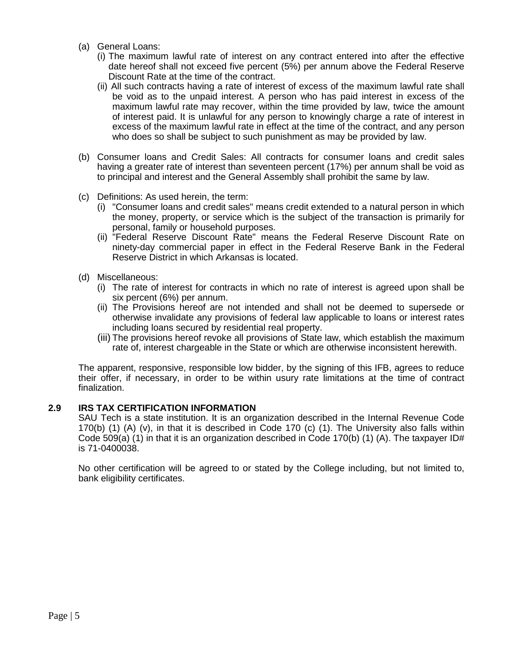- (a) General Loans:
	- (i) The maximum lawful rate of interest on any contract entered into after the effective date hereof shall not exceed five percent (5%) per annum above the Federal Reserve Discount Rate at the time of the contract.
	- (ii) All such contracts having a rate of interest of excess of the maximum lawful rate shall be void as to the unpaid interest. A person who has paid interest in excess of the maximum lawful rate may recover, within the time provided by law, twice the amount of interest paid. It is unlawful for any person to knowingly charge a rate of interest in excess of the maximum lawful rate in effect at the time of the contract, and any person who does so shall be subject to such punishment as may be provided by law.
- (b) Consumer loans and Credit Sales: All contracts for consumer loans and credit sales having a greater rate of interest than seventeen percent (17%) per annum shall be void as to principal and interest and the General Assembly shall prohibit the same by law.
- (c) Definitions: As used herein, the term:
	- (i) "Consumer loans and credit sales" means credit extended to a natural person in which the money, property, or service which is the subject of the transaction is primarily for personal, family or household purposes.
	- (ii) "Federal Reserve Discount Rate" means the Federal Reserve Discount Rate on ninety-day commercial paper in effect in the Federal Reserve Bank in the Federal Reserve District in which Arkansas is located.
- (d) Miscellaneous:
	- (i) The rate of interest for contracts in which no rate of interest is agreed upon shall be six percent (6%) per annum.
	- (ii) The Provisions hereof are not intended and shall not be deemed to supersede or otherwise invalidate any provisions of federal law applicable to loans or interest rates including loans secured by residential real property.
	- (iii) The provisions hereof revoke all provisions of State law, which establish the maximum rate of, interest chargeable in the State or which are otherwise inconsistent herewith.

The apparent, responsive, responsible low bidder, by the signing of this IFB, agrees to reduce their offer, if necessary, in order to be within usury rate limitations at the time of contract finalization.

## **2.9 IRS TAX CERTIFICATION INFORMATION**

SAU Tech is a state institution. It is an organization described in the Internal Revenue Code 170(b) (1) (A) (v), in that it is described in Code 170 (c) (1). The University also falls within Code 509(a) (1) in that it is an organization described in Code 170(b) (1) (A). The taxpayer ID# is 71-0400038.

No other certification will be agreed to or stated by the College including, but not limited to, bank eligibility certificates.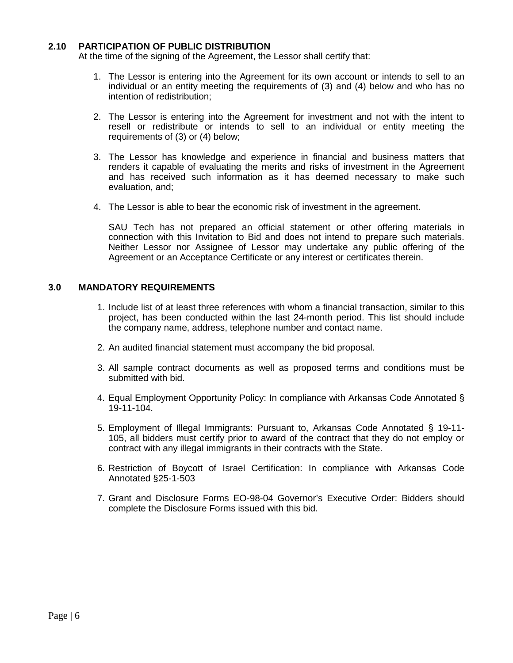### **2.10 PARTICIPATION OF PUBLIC DISTRIBUTION**

At the time of the signing of the Agreement, the Lessor shall certify that:

- 1. The Lessor is entering into the Agreement for its own account or intends to sell to an individual or an entity meeting the requirements of (3) and (4) below and who has no intention of redistribution;
- 2. The Lessor is entering into the Agreement for investment and not with the intent to resell or redistribute or intends to sell to an individual or entity meeting the requirements of (3) or (4) below;
- 3. The Lessor has knowledge and experience in financial and business matters that renders it capable of evaluating the merits and risks of investment in the Agreement and has received such information as it has deemed necessary to make such evaluation, and;
- 4. The Lessor is able to bear the economic risk of investment in the agreement.

 SAU Tech has not prepared an official statement or other offering materials in connection with this Invitation to Bid and does not intend to prepare such materials. Neither Lessor nor Assignee of Lessor may undertake any public offering of the Agreement or an Acceptance Certificate or any interest or certificates therein.

## **3.0 MANDATORY REQUIREMENTS**

- 1. Include list of at least three references with whom a financial transaction, similar to this project, has been conducted within the last 24-month period. This list should include the company name, address, telephone number and contact name.
- 2. An audited financial statement must accompany the bid proposal.
- 3. All sample contract documents as well as proposed terms and conditions must be submitted with bid.
- 4. Equal Employment Opportunity Policy: In compliance with Arkansas Code Annotated § 19-11-104.
- 5. Employment of Illegal Immigrants: Pursuant to, Arkansas Code Annotated § 19-11- 105, all bidders must certify prior to award of the contract that they do not employ or contract with any illegal immigrants in their contracts with the State.
- 6. Restriction of Boycott of Israel Certification: In compliance with Arkansas Code Annotated §25-1-503
- 7. Grant and Disclosure Forms EO-98-04 Governor's Executive Order: Bidders should complete the Disclosure Forms issued with this bid.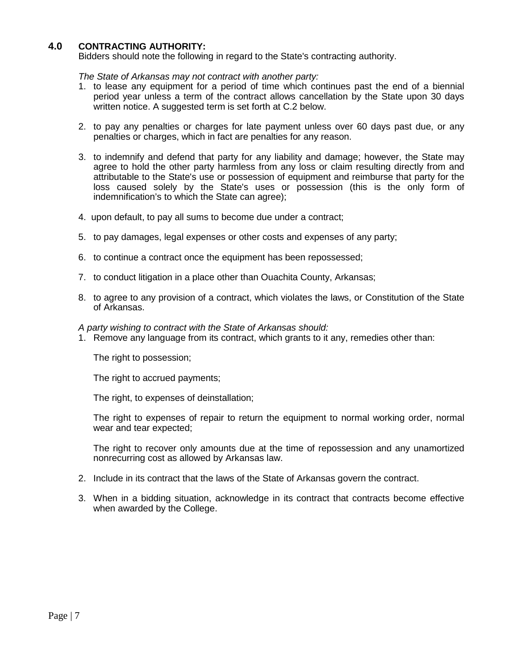# **4.0 CONTRACTING AUTHORITY:**

Bidders should note the following in regard to the State's contracting authority.

*The State of Arkansas may not contract with another party:*

- 1. to lease any equipment for a period of time which continues past the end of a biennial period year unless a term of the contract allows cancellation by the State upon 30 days written notice. A suggested term is set forth at C.2 below.
- 2. to pay any penalties or charges for late payment unless over 60 days past due, or any penalties or charges, which in fact are penalties for any reason.
- 3. to indemnify and defend that party for any liability and damage; however, the State may agree to hold the other party harmless from any loss or claim resulting directly from and attributable to the State's use or possession of equipment and reimburse that party for the loss caused solely by the State's uses or possession (this is the only form of indemnification's to which the State can agree);
- 4. upon default, to pay all sums to become due under a contract;
- 5. to pay damages, legal expenses or other costs and expenses of any party;
- 6. to continue a contract once the equipment has been repossessed;
- 7. to conduct litigation in a place other than Ouachita County, Arkansas;
- 8. to agree to any provision of a contract, which violates the laws, or Constitution of the State of Arkansas.

*A party wishing to contract with the State of Arkansas should:*

1. Remove any language from its contract, which grants to it any, remedies other than:

The right to possession;

The right to accrued payments;

The right, to expenses of deinstallation;

The right to expenses of repair to return the equipment to normal working order, normal wear and tear expected;

The right to recover only amounts due at the time of repossession and any unamortized nonrecurring cost as allowed by Arkansas law.

- 2. Include in its contract that the laws of the State of Arkansas govern the contract.
- 3. When in a bidding situation, acknowledge in its contract that contracts become effective when awarded by the College.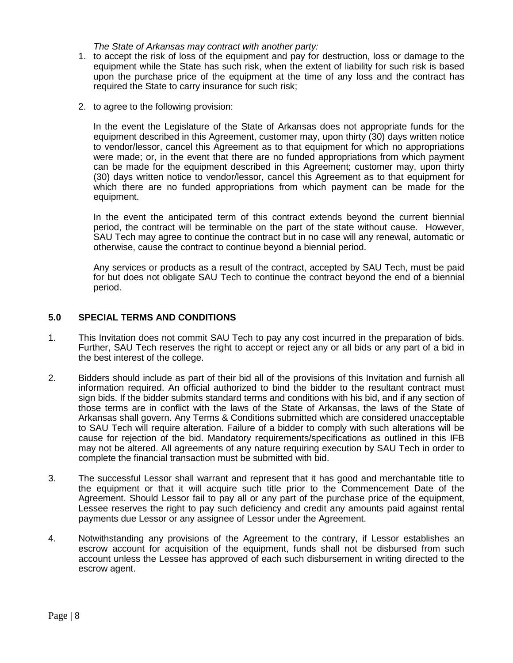*The State of Arkansas may contract with another party:*

- 1. to accept the risk of loss of the equipment and pay for destruction, loss or damage to the equipment while the State has such risk, when the extent of liability for such risk is based upon the purchase price of the equipment at the time of any loss and the contract has required the State to carry insurance for such risk;
- 2. to agree to the following provision:

 In the event the Legislature of the State of Arkansas does not appropriate funds for the equipment described in this Agreement, customer may, upon thirty (30) days written notice to vendor/lessor, cancel this Agreement as to that equipment for which no appropriations were made; or, in the event that there are no funded appropriations from which payment can be made for the equipment described in this Agreement; customer may, upon thirty (30) days written notice to vendor/lessor, cancel this Agreement as to that equipment for which there are no funded appropriations from which payment can be made for the equipment.

 In the event the anticipated term of this contract extends beyond the current biennial period, the contract will be terminable on the part of the state without cause. However, SAU Tech may agree to continue the contract but in no case will any renewal, automatic or otherwise, cause the contract to continue beyond a biennial period.

 Any services or products as a result of the contract, accepted by SAU Tech, must be paid for but does not obligate SAU Tech to continue the contract beyond the end of a biennial period.

#### **5.0 SPECIAL TERMS AND CONDITIONS**

- 1. This Invitation does not commit SAU Tech to pay any cost incurred in the preparation of bids. Further, SAU Tech reserves the right to accept or reject any or all bids or any part of a bid in the best interest of the college.
- 2. Bidders should include as part of their bid all of the provisions of this Invitation and furnish all information required. An official authorized to bind the bidder to the resultant contract must sign bids. If the bidder submits standard terms and conditions with his bid, and if any section of those terms are in conflict with the laws of the State of Arkansas, the laws of the State of Arkansas shall govern. Any Terms & Conditions submitted which are considered unacceptable to SAU Tech will require alteration. Failure of a bidder to comply with such alterations will be cause for rejection of the bid. Mandatory requirements/specifications as outlined in this IFB may not be altered. All agreements of any nature requiring execution by SAU Tech in order to complete the financial transaction must be submitted with bid.
- 3. The successful Lessor shall warrant and represent that it has good and merchantable title to the equipment or that it will acquire such title prior to the Commencement Date of the Agreement. Should Lessor fail to pay all or any part of the purchase price of the equipment, Lessee reserves the right to pay such deficiency and credit any amounts paid against rental payments due Lessor or any assignee of Lessor under the Agreement.
- 4. Notwithstanding any provisions of the Agreement to the contrary, if Lessor establishes an escrow account for acquisition of the equipment, funds shall not be disbursed from such account unless the Lessee has approved of each such disbursement in writing directed to the escrow agent.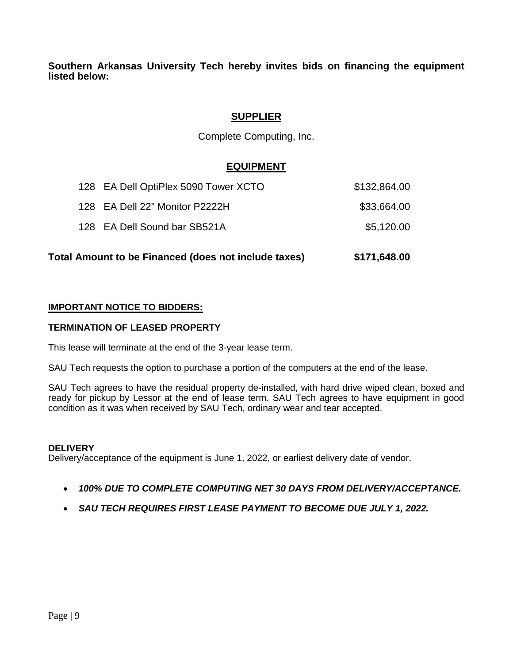**Southern Arkansas University Tech hereby invites bids on financing the equipment listed below:** 

# **SUPPLIER**

Complete Computing, Inc.

# **EQUIPMENT**

| <b>Total Amount to be Financed (does not include taxes)</b> | \$171,648.00 |
|-------------------------------------------------------------|--------------|
| 128 EA Dell Sound bar SB521A                                | \$5,120.00   |
| 128 EA Dell 22" Monitor P2222H                              | \$33,664.00  |
| 128 EA Dell OptiPlex 5090 Tower XCTO                        | \$132,864.00 |

## **IMPORTANT NOTICE TO BIDDERS:**

#### **TERMINATION OF LEASED PROPERTY**

This lease will terminate at the end of the 3-year lease term.

SAU Tech requests the option to purchase a portion of the computers at the end of the lease.

SAU Tech agrees to have the residual property de-installed, with hard drive wiped clean, boxed and ready for pickup by Lessor at the end of lease term. SAU Tech agrees to have equipment in good condition as it was when received by SAU Tech, ordinary wear and tear accepted.

#### **DELIVERY**

Delivery/acceptance of the equipment is June 1, 2022, or earliest delivery date of vendor.

- *100% DUE TO COMPLETE COMPUTING NET 30 DAYS FROM DELIVERY/ACCEPTANCE.*
- *SAU TECH REQUIRES FIRST LEASE PAYMENT TO BECOME DUE JULY 1, 2022.*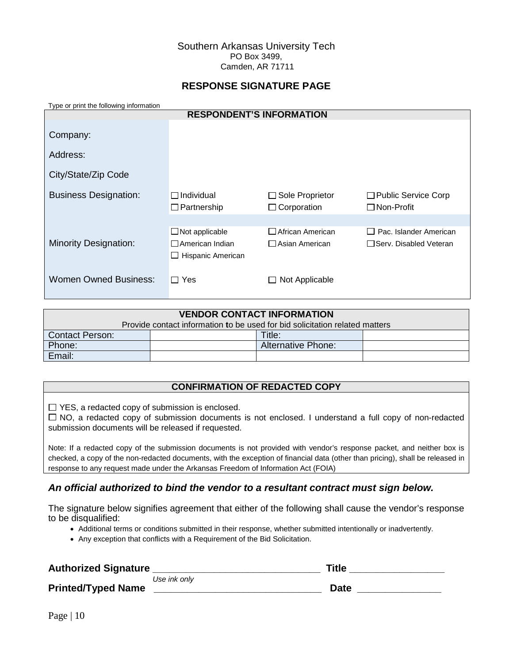#### Southern Arkansas University Tech PO Box 3499, Camden, AR 71711

# **RESPONSE SIGNATURE PAGE**

| Type or print the following information<br><b>RESPONDENT'S INFORMATION</b> |                                               |                                              |                                                 |
|----------------------------------------------------------------------------|-----------------------------------------------|----------------------------------------------|-------------------------------------------------|
| Company:                                                                   |                                               |                                              |                                                 |
| Address:                                                                   |                                               |                                              |                                                 |
| City/State/Zip Code                                                        |                                               |                                              |                                                 |
| <b>Business Designation:</b>                                               | $\Box$ Individual<br>$\Box$ Partnership       | $\Box$ Sole Proprietor<br>$\Box$ Corporation | $\Box$ Public Service Corp<br>$\Box$ Non-Profit |
|                                                                            |                                               |                                              |                                                 |
|                                                                            | $\Box$ Not applicable                         | $\Box$ African American                      | Pac. Islander American                          |
| <b>Minority Designation:</b>                                               | □ American Indian<br>$\Box$ Hispanic American | □ Asian American                             | □Serv. Disabled Veteran                         |
|                                                                            |                                               |                                              |                                                 |
| <b>Women Owned Business:</b>                                               | $\Box$ Yes                                    | Not Applicable                               |                                                 |
|                                                                            |                                               |                                              |                                                 |

| <b>VENDOR CONTACT INFORMATION</b>                                           |  |                    |  |
|-----------------------------------------------------------------------------|--|--------------------|--|
| Provide contact information to be used for bid solicitation related matters |  |                    |  |
| <b>Contact Person:</b>                                                      |  | Title:             |  |
| Phone:                                                                      |  | Alternative Phone: |  |
| Email:                                                                      |  |                    |  |

## **CONFIRMATION OF REDACTED COPY**

 $\Box$  YES, a redacted copy of submission is enclosed.

 $\Box$  NO, a redacted copy of submission documents is not enclosed. I understand a full copy of non-redacted submission documents will be released if requested.

Note: If a redacted copy of the submission documents is not provided with vendor's response packet, and neither box is checked, a copy of the non-redacted documents, with the exception of financial data (other than pricing), shall be released in response to any request made under the Arkansas Freedom of Information Act (FOIA)

# *An official authorized to bind the vendor to a resultant contract must sign below.*

The signature below signifies agreement that either of the following shall cause the vendor's response to be disqualified:

- Additional terms or conditions submitted in their response, whether submitted intentionally or inadvertently.
- Any exception that conflicts with a Requirement of the Bid Solicitation.

| <b>Authorized Signature</b> |              | Title       |
|-----------------------------|--------------|-------------|
| <b>Printed/Typed Name</b>   | Use ink only | <b>Date</b> |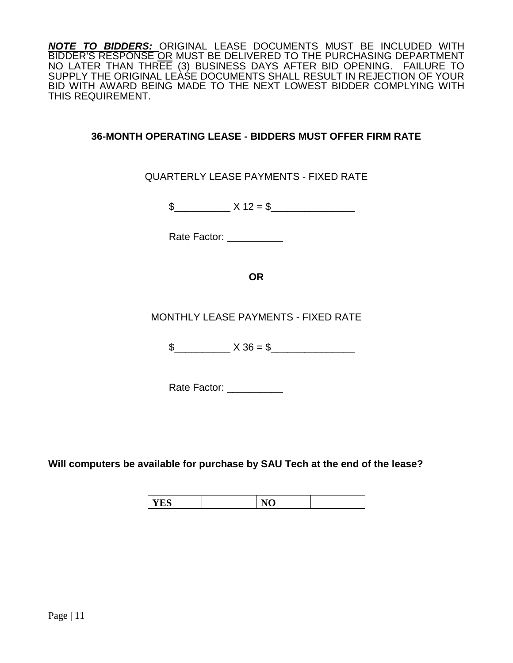*NOTE TO BIDDERS:* ORIGINAL LEASE DOCUMENTS MUST BE INCLUDED WITH BIDDER'S RESPONSE OR MUST BE DELIVERED TO THE PURCHASING DEPARTMENT NO LATER THAN THREE (3) BUSINESS DAYS AFTER BID OPENING. FAILURE TO SUPPLY THE ORIGINAL LEASE DOCUMENTS SHALL RESULT IN REJECTION OF YOUR BID WITH AWARD BEING MADE TO THE NEXT LOWEST BIDDER COMPLYING WITH THIS REQUIREMENT.

# **36-MONTH OPERATING LEASE - BIDDERS MUST OFFER FIRM RATE**

QUARTERLY LEASE PAYMENTS - FIXED RATE

\$\_\_\_\_\_\_\_\_\_\_ X 12 = \$\_\_\_\_\_\_\_\_\_\_\_\_\_\_\_

Rate Factor: \_\_\_\_\_\_\_\_\_\_\_

**OR**

MONTHLY LEASE PAYMENTS - FIXED RATE

 $\text{\$}$   $X \cdot 36 = \text{\$}$ 

Rate Factor: \_\_\_\_\_\_\_\_\_\_\_

**Will computers be available for purchase by SAU Tech at the end of the lease?**

YES  $|N0|$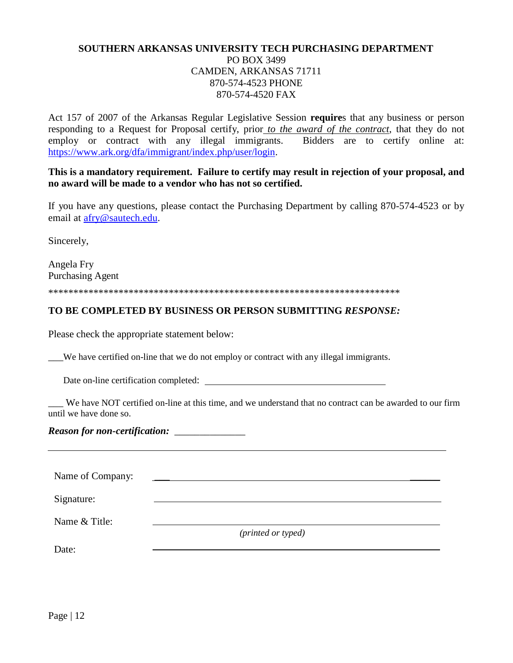# **SOUTHERN ARKANSAS UNIVERSITY TECH PURCHASING DEPARTMENT** PO BOX 3499 CAMDEN, ARKANSAS 71711 870-574-4523 PHONE 870-574-4520 FAX

Act 157 of 2007 of the Arkansas Regular Legislative Session **require**s that any business or person responding to a Request for Proposal certify, prior *to the award of the contract*, that they do not employ or contract with any illegal immigrants. Bidders are to certify online at: [https://www.ark.org/dfa/immigrant/index.php/user/login.](https://www.ark.org/dfa/immigrant/index.php/user/login)

**This is a mandatory requirement. Failure to certify may result in rejection of your proposal, and no award will be made to a vendor who has not so certified.**

If you have any questions, please contact the Purchasing Department by calling 870-574-4523 or by email at [afry@sautech.edu.](mailto:afry@sautech.edu)

Sincerely,

Angela Fry Purchasing Agent

\*\*\*\*\*\*\*\*\*\*\*\*\*\*\*\*\*\*\*\*\*\*\*\*\*\*\*\*\*\*\*\*\*\*\*\*\*\*\*\*\*\*\*\*\*\*\*\*\*\*\*\*\*\*\*\*\*\*\*\*\*\*\*\*\*\*\*\*\*\*

# **TO BE COMPLETED BY BUSINESS OR PERSON SUBMITTING** *RESPONSE:*

Please check the appropriate statement below:

\_\_\_We have certified on-line that we do not employ or contract with any illegal immigrants.

Date on-line certification completed:

\_\_\_ We have NOT certified on-line at this time, and we understand that no contract can be awarded to our firm until we have done so.

*Reason for non-certification:* \_\_\_\_\_\_\_\_\_\_\_\_\_\_

Name of Company: Signature: Name & Title: *(printed or typed)* Date: